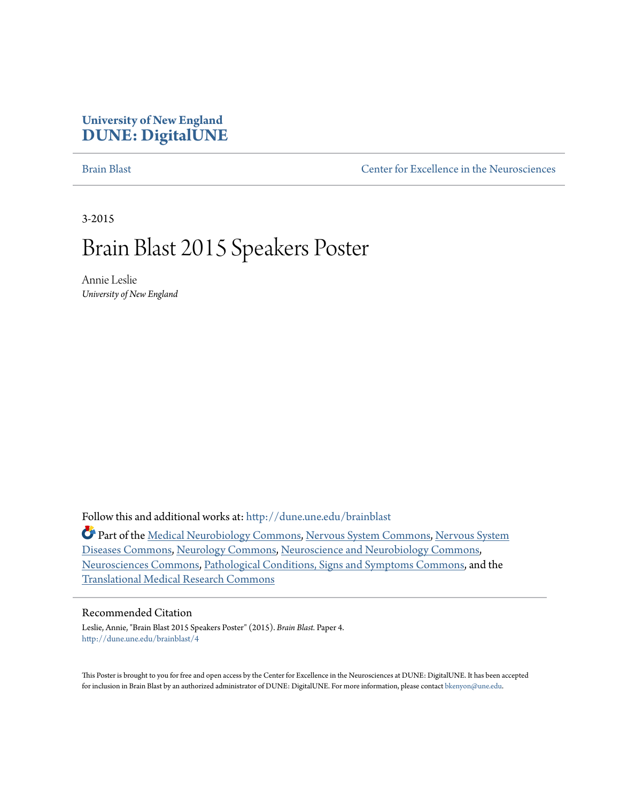### **University of New England [DUNE: DigitalUNE](http://dune.une.edu?utm_source=dune.une.edu%2Fbrainblast%2F4&utm_medium=PDF&utm_campaign=PDFCoverPages)**

[Brain Blast](http://dune.une.edu/brainblast?utm_source=dune.une.edu%2Fbrainblast%2F4&utm_medium=PDF&utm_campaign=PDFCoverPages) [Center for Excellence in the Neurosciences](http://dune.une.edu/cen?utm_source=dune.une.edu%2Fbrainblast%2F4&utm_medium=PDF&utm_campaign=PDFCoverPages)

3-2015

## Brain Blast 2015 Speakers Poster

Annie Leslie *University of New England*

Follow this and additional works at: [http://dune.une.edu/brainblast](http://dune.une.edu/brainblast?utm_source=dune.une.edu%2Fbrainblast%2F4&utm_medium=PDF&utm_campaign=PDFCoverPages)

Part of the [Medical Neurobiology Commons](http://network.bepress.com/hgg/discipline/674?utm_source=dune.une.edu%2Fbrainblast%2F4&utm_medium=PDF&utm_campaign=PDFCoverPages), [Nervous System Commons](http://network.bepress.com/hgg/discipline/949?utm_source=dune.une.edu%2Fbrainblast%2F4&utm_medium=PDF&utm_campaign=PDFCoverPages), [Nervous System](http://network.bepress.com/hgg/discipline/928?utm_source=dune.une.edu%2Fbrainblast%2F4&utm_medium=PDF&utm_campaign=PDFCoverPages) [Diseases Commons,](http://network.bepress.com/hgg/discipline/928?utm_source=dune.une.edu%2Fbrainblast%2F4&utm_medium=PDF&utm_campaign=PDFCoverPages) [Neurology Commons,](http://network.bepress.com/hgg/discipline/692?utm_source=dune.une.edu%2Fbrainblast%2F4&utm_medium=PDF&utm_campaign=PDFCoverPages) [Neuroscience and Neurobiology Commons,](http://network.bepress.com/hgg/discipline/55?utm_source=dune.une.edu%2Fbrainblast%2F4&utm_medium=PDF&utm_campaign=PDFCoverPages) [Neurosciences Commons,](http://network.bepress.com/hgg/discipline/1010?utm_source=dune.une.edu%2Fbrainblast%2F4&utm_medium=PDF&utm_campaign=PDFCoverPages) [Pathological Conditions, Signs and Symptoms Commons,](http://network.bepress.com/hgg/discipline/1004?utm_source=dune.une.edu%2Fbrainblast%2F4&utm_medium=PDF&utm_campaign=PDFCoverPages) and the [Translational Medical Research Commons](http://network.bepress.com/hgg/discipline/1124?utm_source=dune.une.edu%2Fbrainblast%2F4&utm_medium=PDF&utm_campaign=PDFCoverPages)

#### Recommended Citation

Leslie, Annie, "Brain Blast 2015 Speakers Poster" (2015). *Brain Blast.* Paper 4. [http://dune.une.edu/brainblast/4](http://dune.une.edu/brainblast/4?utm_source=dune.une.edu%2Fbrainblast%2F4&utm_medium=PDF&utm_campaign=PDFCoverPages)

This Poster is brought to you for free and open access by the Center for Excellence in the Neurosciences at DUNE: DigitalUNE. It has been accepted for inclusion in Brain Blast by an authorized administrator of DUNE: DigitalUNE. For more information, please contact [bkenyon@une.edu.](mailto:bkenyon@une.edu)